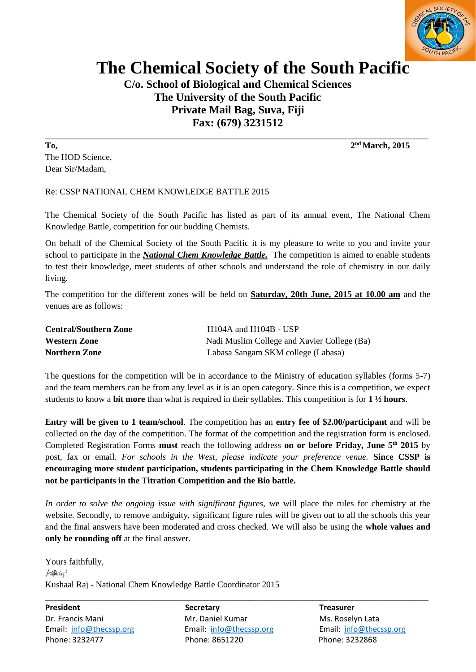

## **The Chemical Society of the South Pacific**

**C/o. School of Biological and Chemical Sciences The University of the South Pacific Private Mail Bag, Suva, Fiji Fax: (679) 3231512**

**To, 2** The HOD Science, Dear Sir/Madam,

## Re: CSSP NATIONAL CHEM KNOWLEDGE BATTLE 2015

The Chemical Society of the South Pacific has listed as part of its annual event, The National Chem Knowledge Battle, competition for our budding Chemists.

On behalf of the Chemical Society of the South Pacific it is my pleasure to write to you and invite your school to participate in the **National Chem Knowledge Battle**. The competition is aimed to enable students to test their knowledge, meet students of other schools and understand the role of chemistry in our daily living.

The competition for the different zones will be held on **Saturday, 20th June, 2015 at 10.00 am** and the venues are as follows:

| <b>Central/Southern Zone</b> | $H104A$ and $H104B - USP$                   |
|------------------------------|---------------------------------------------|
| <b>Western Zone</b>          | Nadi Muslim College and Xavier College (Ba) |
| <b>Northern Zone</b>         | Labasa Sangam SKM college (Labasa)          |

The questions for the competition will be in accordance to the Ministry of education syllables (forms 5-7) and the team members can be from any level as it is an open category. Since this is a competition, we expect students to know a **bit more** than what is required in their syllables. This competition is for **1 ½ hours**.

**Entry will be given to 1 team/school**. The competition has an **entry fee of \$2.00/participant** and will be collected on the day of the competition. The format of the competition and the registration form is enclosed. Completed Registration Forms **must** reach the following address **on or before Friday, June 5th 2015** by post, fax or email. *For schools in the West, please indicate your preference venue.* **Since CSSP is encouraging more student participation, students participating in the Chem Knowledge Battle should not be participants in the Titration Competition and the Bio battle.**

*In order to solve the ongoing issue with significant figures,* we will place the rules for chemistry at the website. Secondly, to remove ambiguity, significant figure rules will be given out to all the schools this year and the final answers have been moderated and cross checked. We will also be using the **whole values and only be rounding off** at the final answer.

Yours faithfully, Kong Kushaal Raj - National Chem Knowledge Battle Coordinator 2015

**President Secretary Treasurer** Dr. Francis Mani Mr. Daniel Kumar Ms. Roselyn Lata Email[: info@thecssp.org](mailto:info@thecssp.org) Email: [info@thecssp.org](mailto:info@thecssp.org) Email[: info@thecssp.org](mailto:info@thecssp.org) Phone: 3232477 Phone: 8651220 Phone: 3232868

\_\_\_\_\_\_\_\_\_\_\_\_\_\_\_\_\_\_\_\_\_\_\_\_\_\_\_\_\_\_\_\_\_\_\_\_\_\_\_\_\_\_\_\_\_\_\_\_\_\_\_\_\_\_\_\_\_\_\_\_\_\_\_\_\_\_\_\_\_\_\_\_\_\_\_\_\_\_\_\_\_\_\_\_\_\_\_\_\_\_\_\_\_\_\_\_

**\_\_\_\_\_\_\_\_\_\_\_\_\_\_\_\_\_\_\_\_\_\_\_\_\_\_\_\_\_\_\_\_\_\_\_\_\_\_\_\_\_\_\_\_\_\_\_\_\_\_\_\_\_\_\_\_\_\_\_\_\_\_\_\_\_\_\_\_\_\_\_\_\_\_\_\_\_\_\_\_ nd March, 2015**